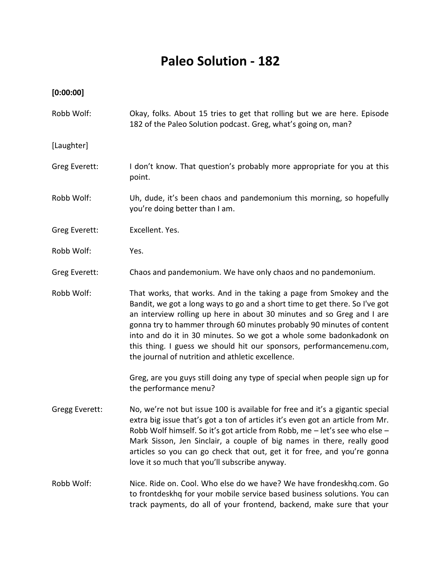## **Paleo Solution - 182**

## **[0:00:00]**

Robb Wolf: Okay, folks. About 15 tries to get that rolling but we are here. Episode 182 of the Paleo Solution podcast. Greg, what's going on, man? [Laughter] Greg Everett: I don't know. That question's probably more appropriate for you at this point. Robb Wolf: Uh, dude, it's been chaos and pandemonium this morning, so hopefully you're doing better than I am. Greg Everett: Excellent. Yes. Robb Wolf: Yes. Greg Everett: Chaos and pandemonium. We have only chaos and no pandemonium. Robb Wolf: That works, that works. And in the taking a page from Smokey and the Bandit, we got a long ways to go and a short time to get there. So I've got an interview rolling up here in about 30 minutes and so Greg and I are gonna try to hammer through 60 minutes probably 90 minutes of content into and do it in 30 minutes. So we got a whole some badonkadonk on this thing. I guess we should hit our sponsors, performancemenu.com, the journal of nutrition and athletic excellence. Greg, are you guys still doing any type of special when people sign up for the performance menu? Gregg Everett: No, we're not but issue 100 is available for free and it's a gigantic special extra big issue that's got a ton of articles it's even got an article from Mr. Robb Wolf himself. So it's got article from Robb, me – let's see who else – Mark Sisson, Jen Sinclair, a couple of big names in there, really good articles so you can go check that out, get it for free, and you're gonna love it so much that you'll subscribe anyway. Robb Wolf: Nice. Ride on. Cool. Who else do we have? We have frondeskhq.com. Go to frontdeskhq for your mobile service based business solutions. You can track payments, do all of your frontend, backend, make sure that your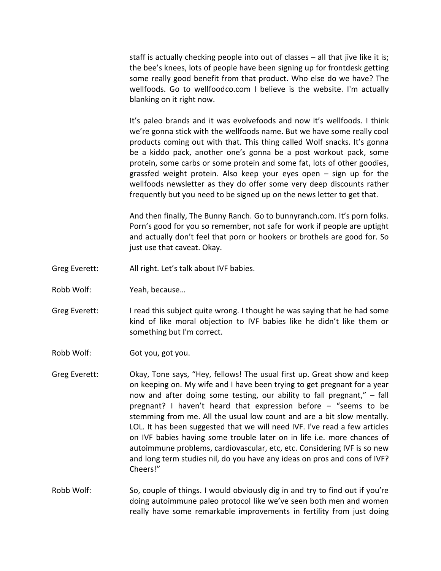staff is actually checking people into out of classes – all that jive like it is; the bee's knees, lots of people have been signing up for frontdesk getting some really good benefit from that product. Who else do we have? The wellfoods. Go to wellfoodco.com I believe is the website. I'm actually blanking on it right now.

It's paleo brands and it was evolvefoods and now it's wellfoods. I think we're gonna stick with the wellfoods name. But we have some really cool products coming out with that. This thing called Wolf snacks. It's gonna be a kiddo pack, another one's gonna be a post workout pack, some protein, some carbs or some protein and some fat, lots of other goodies, grassfed weight protein. Also keep your eyes open – sign up for the wellfoods newsletter as they do offer some very deep discounts rather frequently but you need to be signed up on the news letter to get that.

And then finally, The Bunny Ranch. Go to bunnyranch.com. It's porn folks. Porn's good for you so remember, not safe for work if people are uptight and actually don't feel that porn or hookers or brothels are good for. So just use that caveat. Okay.

- Greg Everett: All right. Let's talk about IVF babies.
- Robb Wolf: Yeah, because…
- Greg Everett: I read this subject quite wrong. I thought he was saying that he had some kind of like moral objection to IVF babies like he didn't like them or something but I'm correct.
- Robb Wolf: Got you, got you.
- Greg Everett: Okay, Tone says, "Hey, fellows! The usual first up. Great show and keep on keeping on. My wife and I have been trying to get pregnant for a year now and after doing some testing, our ability to fall pregnant," – fall pregnant? I haven't heard that expression before – "seems to be stemming from me. All the usual low count and are a bit slow mentally. LOL. It has been suggested that we will need IVF. I've read a few articles on IVF babies having some trouble later on in life i.e. more chances of autoimmune problems, cardiovascular, etc, etc. Considering IVF is so new and long term studies nil, do you have any ideas on pros and cons of IVF? Cheers!"
- Robb Wolf: So, couple of things. I would obviously dig in and try to find out if you're doing autoimmune paleo protocol like we've seen both men and women really have some remarkable improvements in fertility from just doing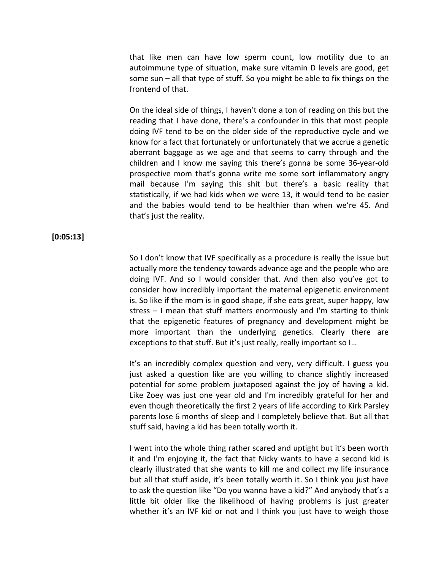that like men can have low sperm count, low motility due to an autoimmune type of situation, make sure vitamin D levels are good, get some sun – all that type of stuff. So you might be able to fix things on the frontend of that.

On the ideal side of things, I haven't done a ton of reading on this but the reading that I have done, there's a confounder in this that most people doing IVF tend to be on the older side of the reproductive cycle and we know for a fact that fortunately or unfortunately that we accrue a genetic aberrant baggage as we age and that seems to carry through and the children and I know me saying this there's gonna be some 36-year-old prospective mom that's gonna write me some sort inflammatory angry mail because I'm saying this shit but there's a basic reality that statistically, if we had kids when we were 13, it would tend to be easier and the babies would tend to be healthier than when we're 45. And that's just the reality.

**[0:05:13]**

So I don't know that IVF specifically as a procedure is really the issue but actually more the tendency towards advance age and the people who are doing IVF. And so I would consider that. And then also you've got to consider how incredibly important the maternal epigenetic environment is. So like if the mom is in good shape, if she eats great, super happy, low stress – I mean that stuff matters enormously and I'm starting to think that the epigenetic features of pregnancy and development might be more important than the underlying genetics. Clearly there are exceptions to that stuff. But it's just really, really important so I…

It's an incredibly complex question and very, very difficult. I guess you just asked a question like are you willing to chance slightly increased potential for some problem juxtaposed against the joy of having a kid. Like Zoey was just one year old and I'm incredibly grateful for her and even though theoretically the first 2 years of life according to Kirk Parsley parents lose 6 months of sleep and I completely believe that. But all that stuff said, having a kid has been totally worth it.

I went into the whole thing rather scared and uptight but it's been worth it and I'm enjoying it, the fact that Nicky wants to have a second kid is clearly illustrated that she wants to kill me and collect my life insurance but all that stuff aside, it's been totally worth it. So I think you just have to ask the question like "Do you wanna have a kid?" And anybody that's a little bit older like the likelihood of having problems is just greater whether it's an IVF kid or not and I think you just have to weigh those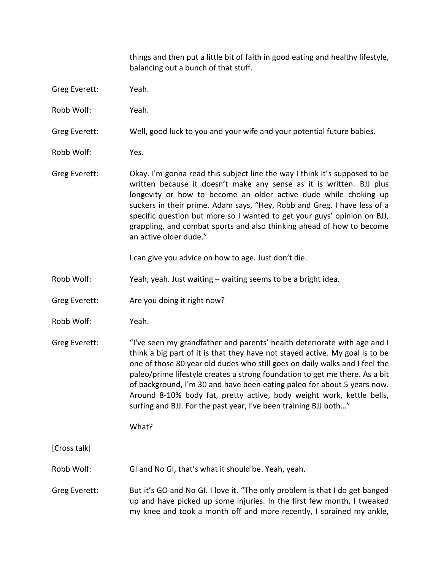things and then put a little bit of faith in good eating and healthy lifestyle, balancing out a bunch of that stuff.

- Greg Everett: Yeah.
- Robb Wolf: Yeah.

Greg Everett: Well, good luck to you and your wife and your potential future babies.

- Robb Wolf: Yes.
- Greg Everett: Okay. I'm gonna read this subject line the way I think it's supposed to be written because it doesn't make any sense as it is written. BJJ plus longevity or how to become an older active dude while choking up suckers in their prime. Adam says, "Hey, Robb and Greg. I have less of a specific question but more so I wanted to get your guys' opinion on BJJ, grappling, and combat sports and also thinking ahead of how to become an active older dude."

I can give you advice on how to age. Just don't die.

- Robb Wolf: Yeah, yeah. Just waiting waiting seems to be a bright idea.
- Greg Everett: Are you doing it right now?
- Robb Wolf: Yeah.
- Greg Everett: "I've seen my grandfather and parents' health deteriorate with age and I think a big part of it is that they have not stayed active. My goal is to be one of those 80 year old dudes who still goes on daily walks and I feel the paleo/prime lifestyle creates a strong foundation to get me there. As a bit of background, I'm 30 and have been eating paleo for about 5 years now. Around 8-10% body fat, pretty active, body weight work, kettle bells, surfing and BJJ. For the past year, I've been training BJJ both…"

What?

[Cross talk]

- Robb Wolf: GI and No GI, that's what it should be. Yeah, yeah.
- Greg Everett: But it's GO and No GI. I love it. "The only problem is that I do get banged up and have picked up some injuries. In the first few month, I tweaked my knee and took a month off and more recently, I sprained my ankle,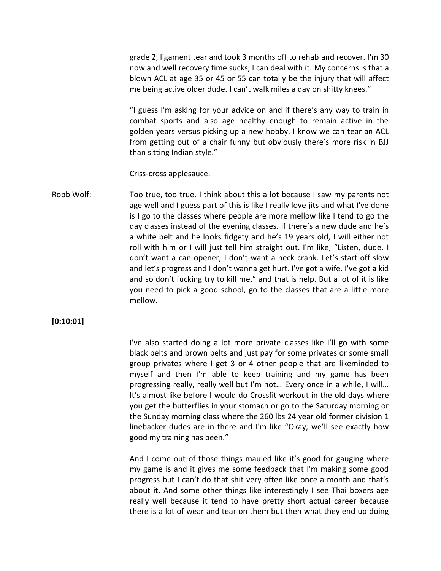grade 2, ligament tear and took 3 months off to rehab and recover. I'm 30 now and well recovery time sucks, I can deal with it. My concerns is that a blown ACL at age 35 or 45 or 55 can totally be the injury that will affect me being active older dude. I can't walk miles a day on shitty knees."

"I guess I'm asking for your advice on and if there's any way to train in combat sports and also age healthy enough to remain active in the golden years versus picking up a new hobby. I know we can tear an ACL from getting out of a chair funny but obviously there's more risk in BJJ than sitting Indian style."

Criss-cross applesauce.

Robb Wolf: Too true, too true. I think about this a lot because I saw my parents not age well and I guess part of this is like I really love jits and what I've done is I go to the classes where people are more mellow like I tend to go the day classes instead of the evening classes. If there's a new dude and he's a white belt and he looks fidgety and he's 19 years old, I will either not roll with him or I will just tell him straight out. I'm like, "Listen, dude. I don't want a can opener, I don't want a neck crank. Let's start off slow and let's progress and I don't wanna get hurt. I've got a wife. I've got a kid and so don't fucking try to kill me," and that is help. But a lot of it is like you need to pick a good school, go to the classes that are a little more mellow.

## **[0:10:01]**

I've also started doing a lot more private classes like I'll go with some black belts and brown belts and just pay for some privates or some small group privates where I get 3 or 4 other people that are likeminded to myself and then I'm able to keep training and my game has been progressing really, really well but I'm not… Every once in a while, I will… It's almost like before I would do Crossfit workout in the old days where you get the butterflies in your stomach or go to the Saturday morning or the Sunday morning class where the 260 lbs 24 year old former division 1 linebacker dudes are in there and I'm like "Okay, we'll see exactly how good my training has been."

And I come out of those things mauled like it's good for gauging where my game is and it gives me some feedback that I'm making some good progress but I can't do that shit very often like once a month and that's about it. And some other things like interestingly I see Thai boxers age really well because it tend to have pretty short actual career because there is a lot of wear and tear on them but then what they end up doing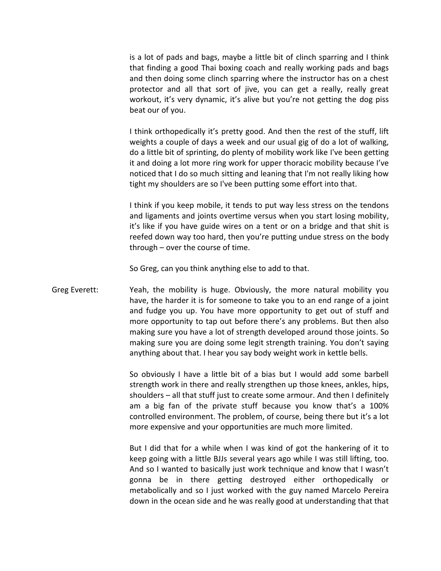is a lot of pads and bags, maybe a little bit of clinch sparring and I think that finding a good Thai boxing coach and really working pads and bags and then doing some clinch sparring where the instructor has on a chest protector and all that sort of jive, you can get a really, really great workout, it's very dynamic, it's alive but you're not getting the dog piss beat our of you.

I think orthopedically it's pretty good. And then the rest of the stuff, lift weights a couple of days a week and our usual gig of do a lot of walking, do a little bit of sprinting, do plenty of mobility work like I've been getting it and doing a lot more ring work for upper thoracic mobility because I've noticed that I do so much sitting and leaning that I'm not really liking how tight my shoulders are so I've been putting some effort into that.

I think if you keep mobile, it tends to put way less stress on the tendons and ligaments and joints overtime versus when you start losing mobility, it's like if you have guide wires on a tent or on a bridge and that shit is reefed down way too hard, then you're putting undue stress on the body through – over the course of time.

So Greg, can you think anything else to add to that.

Greg Everett: Yeah, the mobility is huge. Obviously, the more natural mobility you have, the harder it is for someone to take you to an end range of a joint and fudge you up. You have more opportunity to get out of stuff and more opportunity to tap out before there's any problems. But then also making sure you have a lot of strength developed around those joints. So making sure you are doing some legit strength training. You don't saying anything about that. I hear you say body weight work in kettle bells.

> So obviously I have a little bit of a bias but I would add some barbell strength work in there and really strengthen up those knees, ankles, hips, shoulders – all that stuff just to create some armour. And then I definitely am a big fan of the private stuff because you know that's a 100% controlled environment. The problem, of course, being there but it's a lot more expensive and your opportunities are much more limited.

> But I did that for a while when I was kind of got the hankering of it to keep going with a little BJJs several years ago while I was still lifting, too. And so I wanted to basically just work technique and know that I wasn't gonna be in there getting destroyed either orthopedically or metabolically and so I just worked with the guy named Marcelo Pereira down in the ocean side and he was really good at understanding that that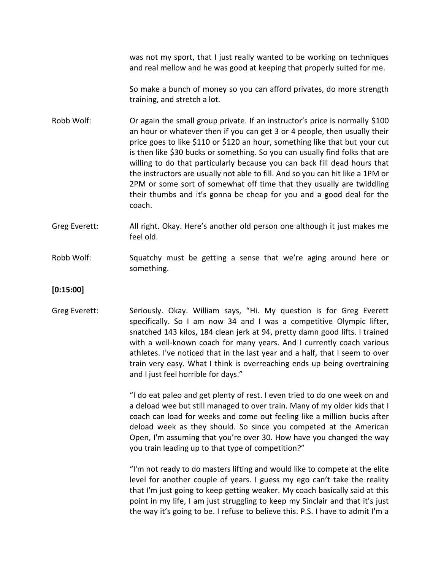was not my sport, that I just really wanted to be working on techniques and real mellow and he was good at keeping that properly suited for me.

So make a bunch of money so you can afford privates, do more strength training, and stretch a lot.

- Robb Wolf: Or again the small group private. If an instructor's price is normally \$100 an hour or whatever then if you can get 3 or 4 people, then usually their price goes to like \$110 or \$120 an hour, something like that but your cut is then like \$30 bucks or something. So you can usually find folks that are willing to do that particularly because you can back fill dead hours that the instructors are usually not able to fill. And so you can hit like a 1PM or 2PM or some sort of somewhat off time that they usually are twiddling their thumbs and it's gonna be cheap for you and a good deal for the coach.
- Greg Everett: All right. Okay. Here's another old person one although it just makes me feel old.
- Robb Wolf: Squatchy must be getting a sense that we're aging around here or something.
- **[0:15:00]**
- Greg Everett: Seriously. Okay. William says, "Hi. My question is for Greg Everett specifically. So I am now 34 and I was a competitive Olympic lifter, snatched 143 kilos, 184 clean jerk at 94, pretty damn good lifts. I trained with a well-known coach for many years. And I currently coach various athletes. I've noticed that in the last year and a half, that I seem to over train very easy. What I think is overreaching ends up being overtraining and I just feel horrible for days."

"I do eat paleo and get plenty of rest. I even tried to do one week on and a deload wee but still managed to over train. Many of my older kids that I coach can load for weeks and come out feeling like a million bucks after deload week as they should. So since you competed at the American Open, I'm assuming that you're over 30. How have you changed the way you train leading up to that type of competition?"

"I'm not ready to do masters lifting and would like to compete at the elite level for another couple of years. I guess my ego can't take the reality that I'm just going to keep getting weaker. My coach basically said at this point in my life, I am just struggling to keep my Sinclair and that it's just the way it's going to be. I refuse to believe this. P.S. I have to admit I'm a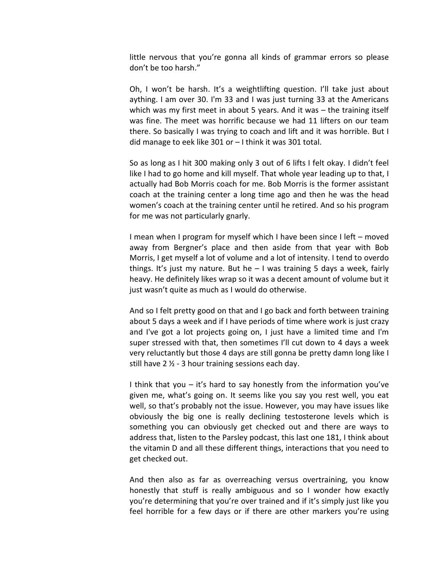little nervous that you're gonna all kinds of grammar errors so please don't be too harsh."

Oh, I won't be harsh. It's a weightlifting question. I'll take just about aything. I am over 30. I'm 33 and I was just turning 33 at the Americans which was my first meet in about 5 years. And it was – the training itself was fine. The meet was horrific because we had 11 lifters on our team there. So basically I was trying to coach and lift and it was horrible. But I did manage to eek like 301 or – I think it was 301 total.

So as long as I hit 300 making only 3 out of 6 lifts I felt okay. I didn't feel like I had to go home and kill myself. That whole year leading up to that, I actually had Bob Morris coach for me. Bob Morris is the former assistant coach at the training center a long time ago and then he was the head women's coach at the training center until he retired. And so his program for me was not particularly gnarly.

I mean when I program for myself which I have been since I left – moved away from Bergner's place and then aside from that year with Bob Morris, I get myself a lot of volume and a lot of intensity. I tend to overdo things. It's just my nature. But he  $-1$  was training 5 days a week, fairly heavy. He definitely likes wrap so it was a decent amount of volume but it just wasn't quite as much as I would do otherwise.

And so I felt pretty good on that and I go back and forth between training about 5 days a week and if I have periods of time where work is just crazy and I've got a lot projects going on, I just have a limited time and I'm super stressed with that, then sometimes I'll cut down to 4 days a week very reluctantly but those 4 days are still gonna be pretty damn long like I still have  $2 \frac{1}{2}$  - 3 hour training sessions each day.

I think that you – it's hard to say honestly from the information you've given me, what's going on. It seems like you say you rest well, you eat well, so that's probably not the issue. However, you may have issues like obviously the big one is really declining testosterone levels which is something you can obviously get checked out and there are ways to address that, listen to the Parsley podcast, this last one 181, I think about the vitamin D and all these different things, interactions that you need to get checked out.

And then also as far as overreaching versus overtraining, you know honestly that stuff is really ambiguous and so I wonder how exactly you're determining that you're over trained and if it's simply just like you feel horrible for a few days or if there are other markers you're using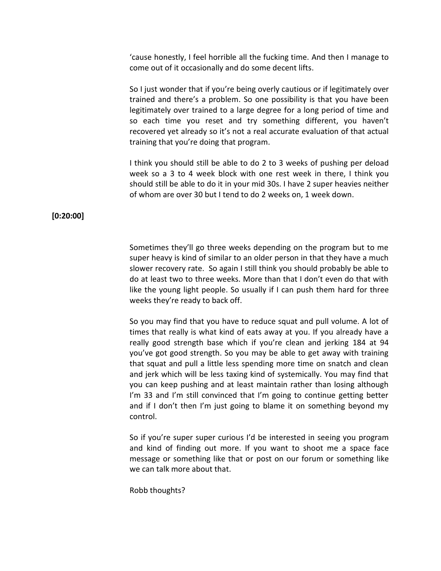'cause honestly, I feel horrible all the fucking time. And then I manage to come out of it occasionally and do some decent lifts.

So I just wonder that if you're being overly cautious or if legitimately over trained and there's a problem. So one possibility is that you have been legitimately over trained to a large degree for a long period of time and so each time you reset and try something different, you haven't recovered yet already so it's not a real accurate evaluation of that actual training that you're doing that program.

I think you should still be able to do 2 to 3 weeks of pushing per deload week so a 3 to 4 week block with one rest week in there, I think you should still be able to do it in your mid 30s. I have 2 super heavies neither of whom are over 30 but I tend to do 2 weeks on, 1 week down.

## **[0:20:00]**

Sometimes they'll go three weeks depending on the program but to me super heavy is kind of similar to an older person in that they have a much slower recovery rate. So again I still think you should probably be able to do at least two to three weeks. More than that I don't even do that with like the young light people. So usually if I can push them hard for three weeks they're ready to back off.

So you may find that you have to reduce squat and pull volume. A lot of times that really is what kind of eats away at you. If you already have a really good strength base which if you're clean and jerking 184 at 94 you've got good strength. So you may be able to get away with training that squat and pull a little less spending more time on snatch and clean and jerk which will be less taxing kind of systemically. You may find that you can keep pushing and at least maintain rather than losing although I'm 33 and I'm still convinced that I'm going to continue getting better and if I don't then I'm just going to blame it on something beyond my control.

So if you're super super curious I'd be interested in seeing you program and kind of finding out more. If you want to shoot me a space face message or something like that or post on our forum or something like we can talk more about that.

Robb thoughts?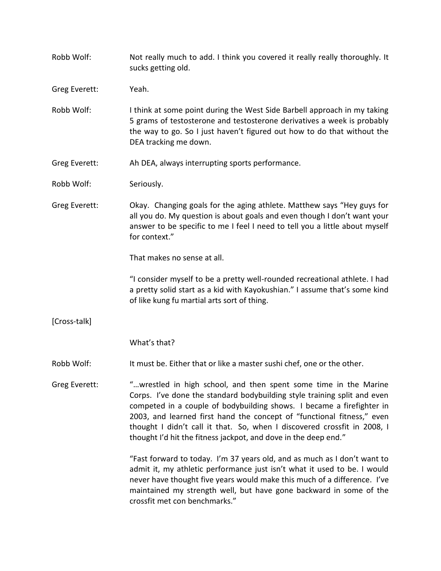Robb Wolf: Not really much to add. I think you covered it really really thoroughly. It sucks getting old.

Greg Everett: Yeah.

- Robb Wolf: I think at some point during the West Side Barbell approach in my taking 5 grams of testosterone and testosterone derivatives a week is probably the way to go. So I just haven't figured out how to do that without the DEA tracking me down.
- Greg Everett: Ah DEA, always interrupting sports performance.

Robb Wolf: Seriously.

Greg Everett: Okay. Changing goals for the aging athlete. Matthew says "Hey guys for all you do. My question is about goals and even though I don't want your answer to be specific to me I feel I need to tell you a little about myself for context."

That makes no sense at all.

"I consider myself to be a pretty well-rounded recreational athlete. I had a pretty solid start as a kid with Kayokushian." I assume that's some kind of like kung fu martial arts sort of thing.

[Cross-talk]

What's that?

Robb Wolf: It must be. Either that or like a master sushi chef, one or the other.

Greg Everett: "...wrestled in high school, and then spent some time in the Marine Corps. I've done the standard bodybuilding style training split and even competed in a couple of bodybuilding shows. I became a firefighter in 2003, and learned first hand the concept of "functional fitness," even thought I didn't call it that. So, when I discovered crossfit in 2008, I thought I'd hit the fitness jackpot, and dove in the deep end."

> "Fast forward to today. I'm 37 years old, and as much as I don't want to admit it, my athletic performance just isn't what it used to be. I would never have thought five years would make this much of a difference. I've maintained my strength well, but have gone backward in some of the crossfit met con benchmarks."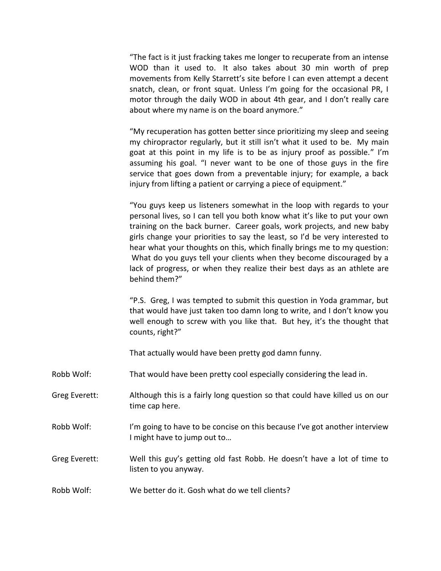"The fact is it just fracking takes me longer to recuperate from an intense WOD than it used to. It also takes about 30 min worth of prep movements from Kelly Starrett's site before I can even attempt a decent snatch, clean, or front squat. Unless I'm going for the occasional PR, I motor through the daily WOD in about 4th gear, and I don't really care about where my name is on the board anymore."

"My recuperation has gotten better since prioritizing my sleep and seeing my chiropractor regularly, but it still isn't what it used to be. My main goat at this point in my life is to be as injury proof as possible." I'm assuming his goal. "I never want to be one of those guys in the fire service that goes down from a preventable injury; for example, a back injury from lifting a patient or carrying a piece of equipment."

"You guys keep us listeners somewhat in the loop with regards to your personal lives, so I can tell you both know what it's like to put your own training on the back burner. Career goals, work projects, and new baby girls change your priorities to say the least, so I'd be very interested to hear what your thoughts on this, which finally brings me to my question: What do you guys tell your clients when they become discouraged by a lack of progress, or when they realize their best days as an athlete are behind them?"

"P.S. Greg, I was tempted to submit this question in Yoda grammar, but that would have just taken too damn long to write, and I don't know you well enough to screw with you like that. But hey, it's the thought that counts, right?"

That actually would have been pretty god damn funny.

- Robb Wolf: That would have been pretty cool especially considering the lead in.
- Greg Everett: Although this is a fairly long question so that could have killed us on our time cap here.
- Robb Wolf: I'm going to have to be concise on this because I've got another interview I might have to jump out to…
- Greg Everett: Well this guy's getting old fast Robb. He doesn't have a lot of time to listen to you anyway.
- Robb Wolf: We better do it. Gosh what do we tell clients?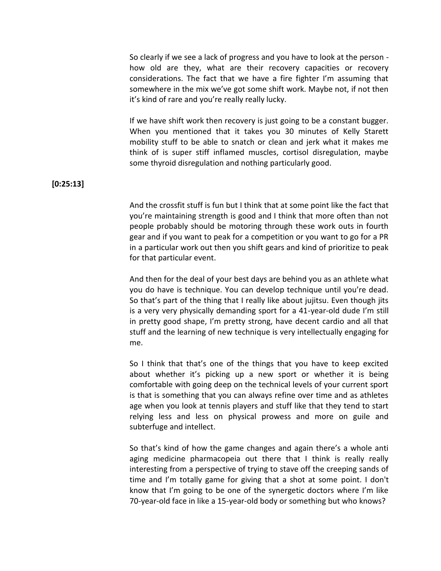So clearly if we see a lack of progress and you have to look at the person how old are they, what are their recovery capacities or recovery considerations. The fact that we have a fire fighter I'm assuming that somewhere in the mix we've got some shift work. Maybe not, if not then it's kind of rare and you're really really lucky.

If we have shift work then recovery is just going to be a constant bugger. When you mentioned that it takes you 30 minutes of Kelly Starett mobility stuff to be able to snatch or clean and jerk what it makes me think of is super stiff inflamed muscles, cortisol disregulation, maybe some thyroid disregulation and nothing particularly good.

**[0:25:13]**

And the crossfit stuff is fun but I think that at some point like the fact that you're maintaining strength is good and I think that more often than not people probably should be motoring through these work outs in fourth gear and if you want to peak for a competition or you want to go for a PR in a particular work out then you shift gears and kind of prioritize to peak for that particular event.

And then for the deal of your best days are behind you as an athlete what you do have is technique. You can develop technique until you're dead. So that's part of the thing that I really like about jujitsu. Even though jits is a very very physically demanding sport for a 41-year-old dude I'm still in pretty good shape, I'm pretty strong, have decent cardio and all that stuff and the learning of new technique is very intellectually engaging for me.

So I think that that's one of the things that you have to keep excited about whether it's picking up a new sport or whether it is being comfortable with going deep on the technical levels of your current sport is that is something that you can always refine over time and as athletes age when you look at tennis players and stuff like that they tend to start relying less and less on physical prowess and more on guile and subterfuge and intellect.

So that's kind of how the game changes and again there's a whole anti aging medicine pharmacopeia out there that I think is really really interesting from a perspective of trying to stave off the creeping sands of time and I'm totally game for giving that a shot at some point. I don't know that I'm going to be one of the synergetic doctors where I'm like 70-year-old face in like a 15-year-old body or something but who knows?